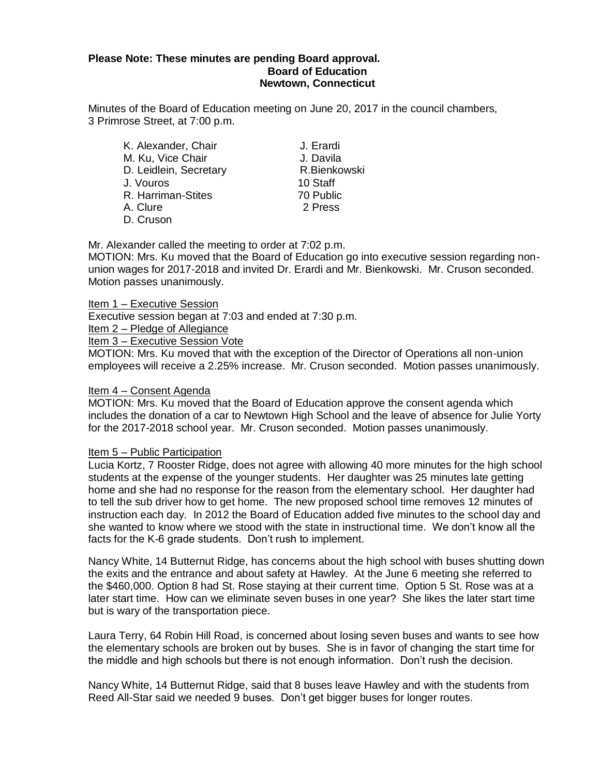## **Please Note: These minutes are pending Board approval. Board of Education Newtown, Connecticut**

Minutes of the Board of Education meeting on June 20, 2017 in the council chambers, 3 Primrose Street, at 7:00 p.m.

| K. Alexander, Chair    | J. Erardi |
|------------------------|-----------|
| M. Ku, Vice Chair      | J. Davila |
| D. Leidlein, Secretary | R.Bienko  |
| J. Vouros              | 10 Staff  |
| R. Harriman-Stites     | 70 Public |
| A. Clure               | 2 Press   |
| D. Cruson              |           |

Mr. Alexander called the meeting to order at 7:02 p.m.

MOTION: Mrs. Ku moved that the Board of Education go into executive session regarding nonunion wages for 2017-2018 and invited Dr. Erardi and Mr. Bienkowski. Mr. Cruson seconded. Motion passes unanimously.

R. Bienkowski

Item 1 – Executive Session

Executive session began at 7:03 and ended at 7:30 p.m.

Item 2 – Pledge of Allegiance

Item 3 – Executive Session Vote

MOTION: Mrs. Ku moved that with the exception of the Director of Operations all non-union employees will receive a 2.25% increase. Mr. Cruson seconded. Motion passes unanimously.

## Item 4 – Consent Agenda

MOTION: Mrs. Ku moved that the Board of Education approve the consent agenda which includes the donation of a car to Newtown High School and the leave of absence for Julie Yorty for the 2017-2018 school year. Mr. Cruson seconded. Motion passes unanimously.

## Item 5 – Public Participation

Lucia Kortz, 7 Rooster Ridge, does not agree with allowing 40 more minutes for the high school students at the expense of the younger students. Her daughter was 25 minutes late getting home and she had no response for the reason from the elementary school. Her daughter had to tell the sub driver how to get home. The new proposed school time removes 12 minutes of instruction each day. In 2012 the Board of Education added five minutes to the school day and she wanted to know where we stood with the state in instructional time. We don't know all the facts for the K-6 grade students. Don't rush to implement.

Nancy White, 14 Butternut Ridge, has concerns about the high school with buses shutting down the exits and the entrance and about safety at Hawley. At the June 6 meeting she referred to the \$460,000. Option 8 had St. Rose staying at their current time. Option 5 St. Rose was at a later start time. How can we eliminate seven buses in one year? She likes the later start time but is wary of the transportation piece.

Laura Terry, 64 Robin Hill Road, is concerned about losing seven buses and wants to see how the elementary schools are broken out by buses. She is in favor of changing the start time for the middle and high schools but there is not enough information. Don't rush the decision.

Nancy White, 14 Butternut Ridge, said that 8 buses leave Hawley and with the students from Reed All-Star said we needed 9 buses. Don't get bigger buses for longer routes.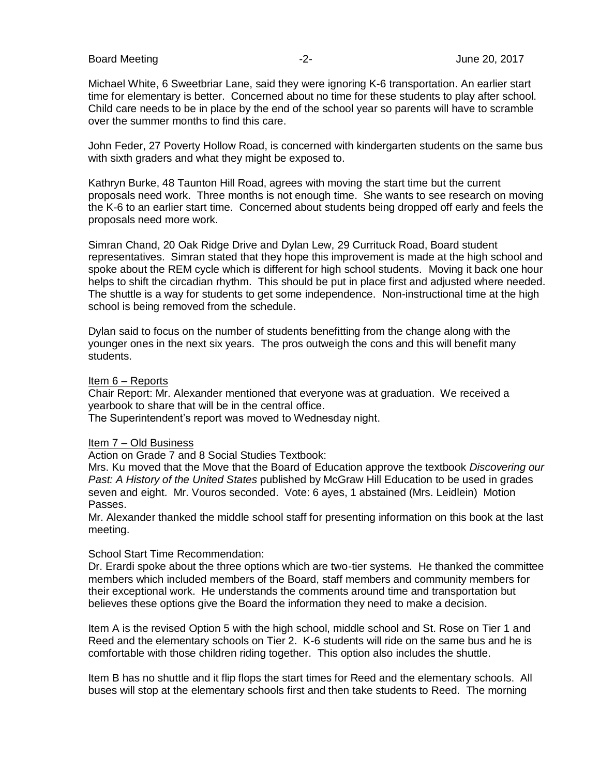Board Meeting **-2-** Figure 20, 2017 **-2-** Figure 20, 2017

Michael White, 6 Sweetbriar Lane, said they were ignoring K-6 transportation. An earlier start time for elementary is better. Concerned about no time for these students to play after school. Child care needs to be in place by the end of the school year so parents will have to scramble over the summer months to find this care.

John Feder, 27 Poverty Hollow Road, is concerned with kindergarten students on the same bus with sixth graders and what they might be exposed to.

Kathryn Burke, 48 Taunton Hill Road, agrees with moving the start time but the current proposals need work. Three months is not enough time. She wants to see research on moving the K-6 to an earlier start time. Concerned about students being dropped off early and feels the proposals need more work.

Simran Chand, 20 Oak Ridge Drive and Dylan Lew, 29 Currituck Road, Board student representatives. Simran stated that they hope this improvement is made at the high school and spoke about the REM cycle which is different for high school students. Moving it back one hour helps to shift the circadian rhythm. This should be put in place first and adjusted where needed. The shuttle is a way for students to get some independence. Non-instructional time at the high school is being removed from the schedule.

Dylan said to focus on the number of students benefitting from the change along with the younger ones in the next six years. The pros outweigh the cons and this will benefit many students.

## Item 6 – Reports

Chair Report: Mr. Alexander mentioned that everyone was at graduation. We received a yearbook to share that will be in the central office.

The Superintendent's report was moved to Wednesday night.

## Item 7 – Old Business

Action on Grade 7 and 8 Social Studies Textbook:

Mrs. Ku moved that the Move that the Board of Education approve the textbook *Discovering our Past: A History of the United States* published by McGraw Hill Education to be used in grades seven and eight. Mr. Vouros seconded. Vote: 6 ayes, 1 abstained (Mrs. Leidlein) Motion Passes.

Mr. Alexander thanked the middle school staff for presenting information on this book at the last meeting.

## School Start Time Recommendation:

Dr. Erardi spoke about the three options which are two-tier systems. He thanked the committee members which included members of the Board, staff members and community members for their exceptional work. He understands the comments around time and transportation but believes these options give the Board the information they need to make a decision.

Item A is the revised Option 5 with the high school, middle school and St. Rose on Tier 1 and Reed and the elementary schools on Tier 2. K-6 students will ride on the same bus and he is comfortable with those children riding together. This option also includes the shuttle.

Item B has no shuttle and it flip flops the start times for Reed and the elementary schools. All buses will stop at the elementary schools first and then take students to Reed. The morning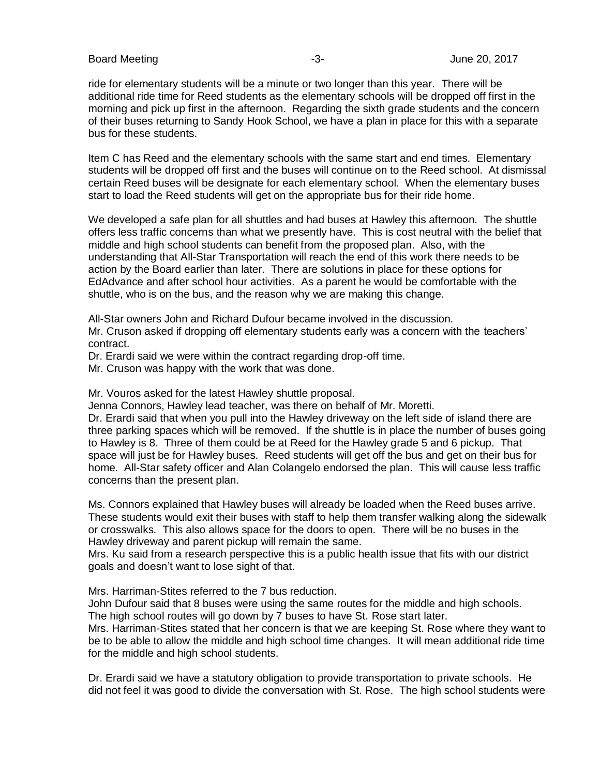## Board Meeting **-3**- **2017** Coard Meeting **-3**-

ride for elementary students will be a minute or two longer than this year. There will be additional ride time for Reed students as the elementary schools will be dropped off first in the morning and pick up first in the afternoon. Regarding the sixth grade students and the concern of their buses returning to Sandy Hook School, we have a plan in place for this with a separate bus for these students.

Item C has Reed and the elementary schools with the same start and end times. Elementary students will be dropped off first and the buses will continue on to the Reed school. At dismissal certain Reed buses will be designate for each elementary school. When the elementary buses start to load the Reed students will get on the appropriate bus for their ride home.

We developed a safe plan for all shuttles and had buses at Hawley this afternoon. The shuttle offers less traffic concerns than what we presently have. This is cost neutral with the belief that middle and high school students can benefit from the proposed plan. Also, with the understanding that All-Star Transportation will reach the end of this work there needs to be action by the Board earlier than later. There are solutions in place for these options for EdAdvance and after school hour activities. As a parent he would be comfortable with the shuttle, who is on the bus, and the reason why we are making this change.

All-Star owners John and Richard Dufour became involved in the discussion.

Mr. Cruson asked if dropping off elementary students early was a concern with the teachers' contract.

Dr. Erardi said we were within the contract regarding drop-off time.

Mr. Cruson was happy with the work that was done.

Mr. Vouros asked for the latest Hawley shuttle proposal.

Jenna Connors, Hawley lead teacher, was there on behalf of Mr. Moretti.

Dr. Erardi said that when you pull into the Hawley driveway on the left side of island there are three parking spaces which will be removed. If the shuttle is in place the number of buses going to Hawley is 8. Three of them could be at Reed for the Hawley grade 5 and 6 pickup. That space will just be for Hawley buses. Reed students will get off the bus and get on their bus for home. All-Star safety officer and Alan Colangelo endorsed the plan. This will cause less traffic concerns than the present plan.

Ms. Connors explained that Hawley buses will already be loaded when the Reed buses arrive. These students would exit their buses with staff to help them transfer walking along the sidewalk or crosswalks. This also allows space for the doors to open. There will be no buses in the Hawley driveway and parent pickup will remain the same.

Mrs. Ku said from a research perspective this is a public health issue that fits with our district goals and doesn't want to lose sight of that.

Mrs. Harriman-Stites referred to the 7 bus reduction.

John Dufour said that 8 buses were using the same routes for the middle and high schools. The high school routes will go down by 7 buses to have St. Rose start later.

Mrs. Harriman-Stites stated that her concern is that we are keeping St. Rose where they want to be to be able to allow the middle and high school time changes. It will mean additional ride time for the middle and high school students.

Dr. Erardi said we have a statutory obligation to provide transportation to private schools. He did not feel it was good to divide the conversation with St. Rose. The high school students were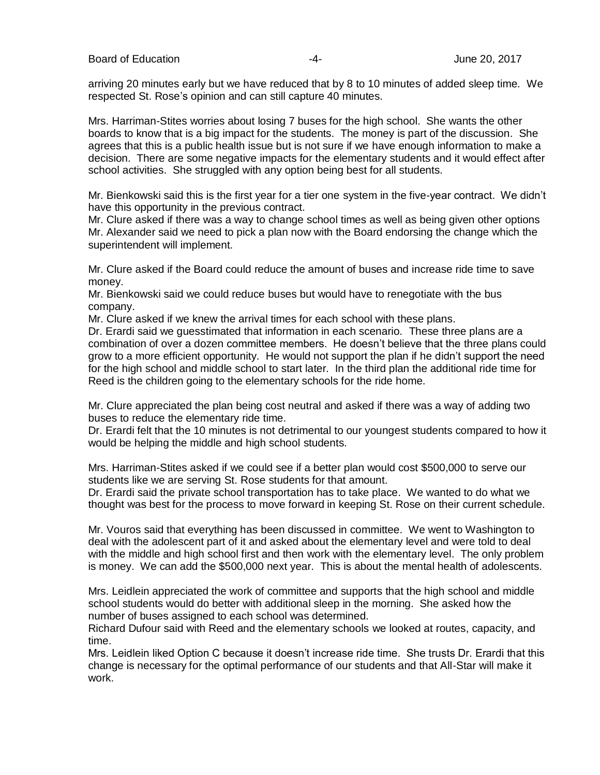arriving 20 minutes early but we have reduced that by 8 to 10 minutes of added sleep time. We respected St. Rose's opinion and can still capture 40 minutes.

Mrs. Harriman-Stites worries about losing 7 buses for the high school. She wants the other boards to know that is a big impact for the students. The money is part of the discussion. She agrees that this is a public health issue but is not sure if we have enough information to make a decision. There are some negative impacts for the elementary students and it would effect after school activities. She struggled with any option being best for all students.

Mr. Bienkowski said this is the first year for a tier one system in the five-year contract. We didn't have this opportunity in the previous contract.

Mr. Clure asked if there was a way to change school times as well as being given other options Mr. Alexander said we need to pick a plan now with the Board endorsing the change which the superintendent will implement.

Mr. Clure asked if the Board could reduce the amount of buses and increase ride time to save money.

Mr. Bienkowski said we could reduce buses but would have to renegotiate with the bus company.

Mr. Clure asked if we knew the arrival times for each school with these plans.

Dr. Erardi said we guesstimated that information in each scenario. These three plans are a combination of over a dozen committee members. He doesn't believe that the three plans could grow to a more efficient opportunity. He would not support the plan if he didn't support the need for the high school and middle school to start later. In the third plan the additional ride time for Reed is the children going to the elementary schools for the ride home.

Mr. Clure appreciated the plan being cost neutral and asked if there was a way of adding two buses to reduce the elementary ride time.

Dr. Erardi felt that the 10 minutes is not detrimental to our youngest students compared to how it would be helping the middle and high school students.

Mrs. Harriman-Stites asked if we could see if a better plan would cost \$500,000 to serve our students like we are serving St. Rose students for that amount.

Dr. Erardi said the private school transportation has to take place. We wanted to do what we thought was best for the process to move forward in keeping St. Rose on their current schedule.

Mr. Vouros said that everything has been discussed in committee. We went to Washington to deal with the adolescent part of it and asked about the elementary level and were told to deal with the middle and high school first and then work with the elementary level. The only problem is money. We can add the \$500,000 next year. This is about the mental health of adolescents.

Mrs. Leidlein appreciated the work of committee and supports that the high school and middle school students would do better with additional sleep in the morning. She asked how the number of buses assigned to each school was determined.

Richard Dufour said with Reed and the elementary schools we looked at routes, capacity, and time.

Mrs. Leidlein liked Option C because it doesn't increase ride time. She trusts Dr. Erardi that this change is necessary for the optimal performance of our students and that All-Star will make it work.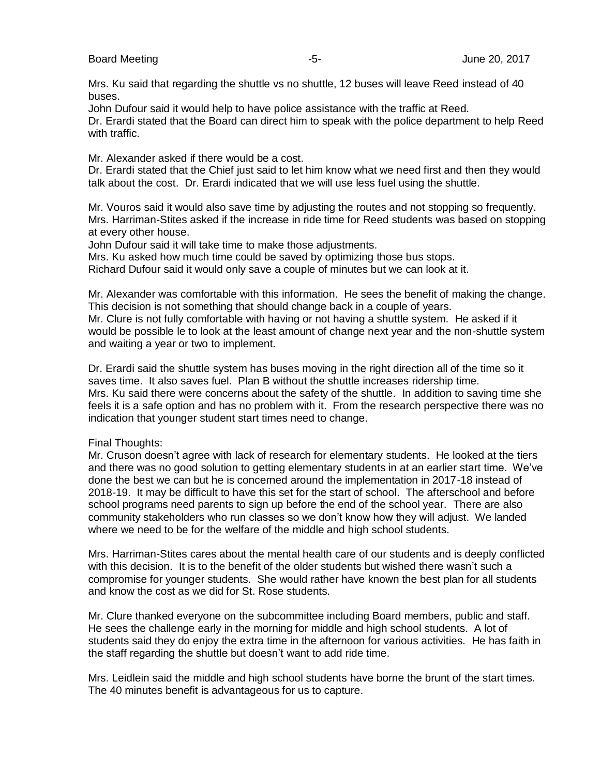## Board Meeting  $\sim$  300  $\sim$  5-  $\sim$  5-  $\sim$  3017 June 20, 2017

Mrs. Ku said that regarding the shuttle vs no shuttle, 12 buses will leave Reed instead of 40 buses.

John Dufour said it would help to have police assistance with the traffic at Reed.

Dr. Erardi stated that the Board can direct him to speak with the police department to help Reed with traffic.

Mr. Alexander asked if there would be a cost.

Dr. Erardi stated that the Chief just said to let him know what we need first and then they would talk about the cost. Dr. Erardi indicated that we will use less fuel using the shuttle.

Mr. Vouros said it would also save time by adjusting the routes and not stopping so frequently. Mrs. Harriman-Stites asked if the increase in ride time for Reed students was based on stopping at every other house.

John Dufour said it will take time to make those adjustments.

Mrs. Ku asked how much time could be saved by optimizing those bus stops.

Richard Dufour said it would only save a couple of minutes but we can look at it.

Mr. Alexander was comfortable with this information. He sees the benefit of making the change. This decision is not something that should change back in a couple of years.

Mr. Clure is not fully comfortable with having or not having a shuttle system. He asked if it would be possible le to look at the least amount of change next year and the non-shuttle system and waiting a year or two to implement.

Dr. Erardi said the shuttle system has buses moving in the right direction all of the time so it saves time. It also saves fuel. Plan B without the shuttle increases ridership time. Mrs. Ku said there were concerns about the safety of the shuttle. In addition to saving time she feels it is a safe option and has no problem with it. From the research perspective there was no indication that younger student start times need to change.

Final Thoughts:

Mr. Cruson doesn't agree with lack of research for elementary students. He looked at the tiers and there was no good solution to getting elementary students in at an earlier start time. We've done the best we can but he is concerned around the implementation in 2017-18 instead of 2018-19. It may be difficult to have this set for the start of school. The afterschool and before school programs need parents to sign up before the end of the school year. There are also community stakeholders who run classes so we don't know how they will adjust. We landed where we need to be for the welfare of the middle and high school students.

Mrs. Harriman-Stites cares about the mental health care of our students and is deeply conflicted with this decision. It is to the benefit of the older students but wished there wasn't such a compromise for younger students. She would rather have known the best plan for all students and know the cost as we did for St. Rose students.

Mr. Clure thanked everyone on the subcommittee including Board members, public and staff. He sees the challenge early in the morning for middle and high school students. A lot of students said they do enjoy the extra time in the afternoon for various activities. He has faith in the staff regarding the shuttle but doesn't want to add ride time.

Mrs. Leidlein said the middle and high school students have borne the brunt of the start times. The 40 minutes benefit is advantageous for us to capture.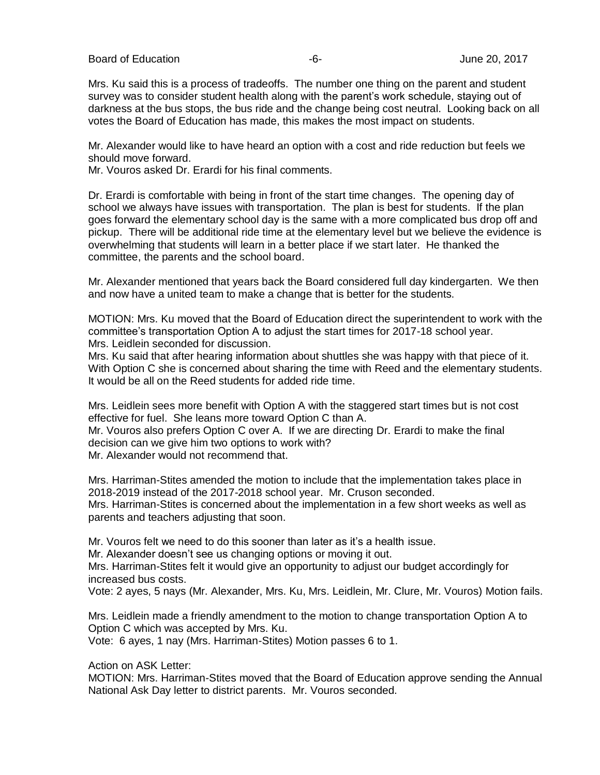Board of Education  $-6 -6-$  June 20, 2017

Mrs. Ku said this is a process of tradeoffs. The number one thing on the parent and student survey was to consider student health along with the parent's work schedule, staying out of darkness at the bus stops, the bus ride and the change being cost neutral. Looking back on all votes the Board of Education has made, this makes the most impact on students.

Mr. Alexander would like to have heard an option with a cost and ride reduction but feels we should move forward.

Mr. Vouros asked Dr. Erardi for his final comments.

Dr. Erardi is comfortable with being in front of the start time changes. The opening day of school we always have issues with transportation. The plan is best for students. If the plan goes forward the elementary school day is the same with a more complicated bus drop off and pickup. There will be additional ride time at the elementary level but we believe the evidence is overwhelming that students will learn in a better place if we start later. He thanked the committee, the parents and the school board.

Mr. Alexander mentioned that years back the Board considered full day kindergarten. We then and now have a united team to make a change that is better for the students.

MOTION: Mrs. Ku moved that the Board of Education direct the superintendent to work with the committee's transportation Option A to adjust the start times for 2017-18 school year. Mrs. Leidlein seconded for discussion.

Mrs. Ku said that after hearing information about shuttles she was happy with that piece of it. With Option C she is concerned about sharing the time with Reed and the elementary students. It would be all on the Reed students for added ride time.

Mrs. Leidlein sees more benefit with Option A with the staggered start times but is not cost effective for fuel. She leans more toward Option C than A.

Mr. Vouros also prefers Option C over A. If we are directing Dr. Erardi to make the final decision can we give him two options to work with?

Mr. Alexander would not recommend that.

Mrs. Harriman-Stites amended the motion to include that the implementation takes place in 2018-2019 instead of the 2017-2018 school year. Mr. Cruson seconded. Mrs. Harriman-Stites is concerned about the implementation in a few short weeks as well as parents and teachers adjusting that soon.

Mr. Vouros felt we need to do this sooner than later as it's a health issue.

Mr. Alexander doesn't see us changing options or moving it out.

Mrs. Harriman-Stites felt it would give an opportunity to adjust our budget accordingly for increased bus costs.

Vote: 2 ayes, 5 nays (Mr. Alexander, Mrs. Ku, Mrs. Leidlein, Mr. Clure, Mr. Vouros) Motion fails.

Mrs. Leidlein made a friendly amendment to the motion to change transportation Option A to Option C which was accepted by Mrs. Ku.

Vote: 6 ayes, 1 nay (Mrs. Harriman-Stites) Motion passes 6 to 1.

Action on ASK Letter:

MOTION: Mrs. Harriman-Stites moved that the Board of Education approve sending the Annual National Ask Day letter to district parents. Mr. Vouros seconded.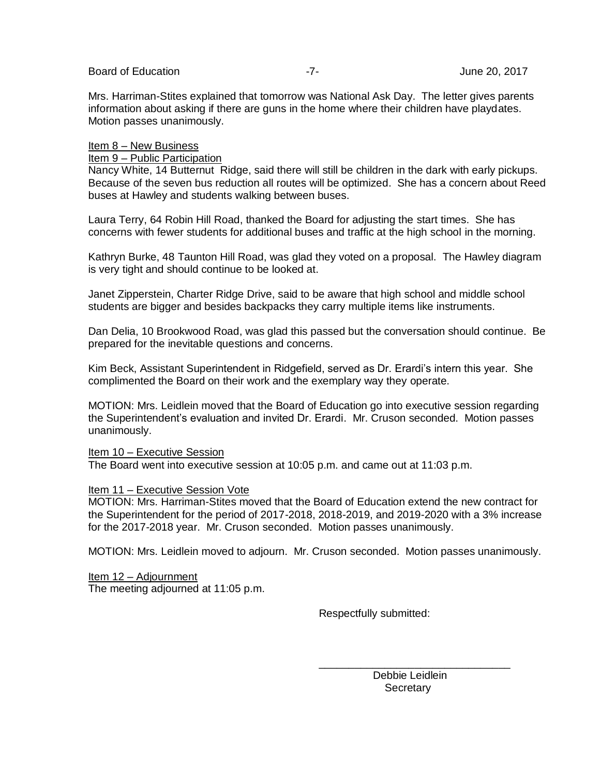Mrs. Harriman-Stites explained that tomorrow was National Ask Day. The letter gives parents information about asking if there are guns in the home where their children have playdates. Motion passes unanimously.

## Item 8 – New Business

## Item 9 – Public Participation

Nancy White, 14 Butternut Ridge, said there will still be children in the dark with early pickups. Because of the seven bus reduction all routes will be optimized. She has a concern about Reed buses at Hawley and students walking between buses.

Laura Terry, 64 Robin Hill Road, thanked the Board for adjusting the start times. She has concerns with fewer students for additional buses and traffic at the high school in the morning.

Kathryn Burke, 48 Taunton Hill Road, was glad they voted on a proposal. The Hawley diagram is very tight and should continue to be looked at.

Janet Zipperstein, Charter Ridge Drive, said to be aware that high school and middle school students are bigger and besides backpacks they carry multiple items like instruments.

Dan Delia, 10 Brookwood Road, was glad this passed but the conversation should continue. Be prepared for the inevitable questions and concerns.

Kim Beck, Assistant Superintendent in Ridgefield, served as Dr. Erardi's intern this year. She complimented the Board on their work and the exemplary way they operate.

MOTION: Mrs. Leidlein moved that the Board of Education go into executive session regarding the Superintendent's evaluation and invited Dr. Erardi. Mr. Cruson seconded. Motion passes unanimously.

## Item 10 – Executive Session

The Board went into executive session at 10:05 p.m. and came out at 11:03 p.m.

## Item 11 – Executive Session Vote

MOTION: Mrs. Harriman-Stites moved that the Board of Education extend the new contract for the Superintendent for the period of 2017-2018, 2018-2019, and 2019-2020 with a 3% increase for the 2017-2018 year. Mr. Cruson seconded. Motion passes unanimously.

MOTION: Mrs. Leidlein moved to adjourn. Mr. Cruson seconded. Motion passes unanimously.

 $\_$ 

Item 12 – Adjournment The meeting adjourned at 11:05 p.m.

Respectfully submitted:

 Debbie Leidlein **Secretary**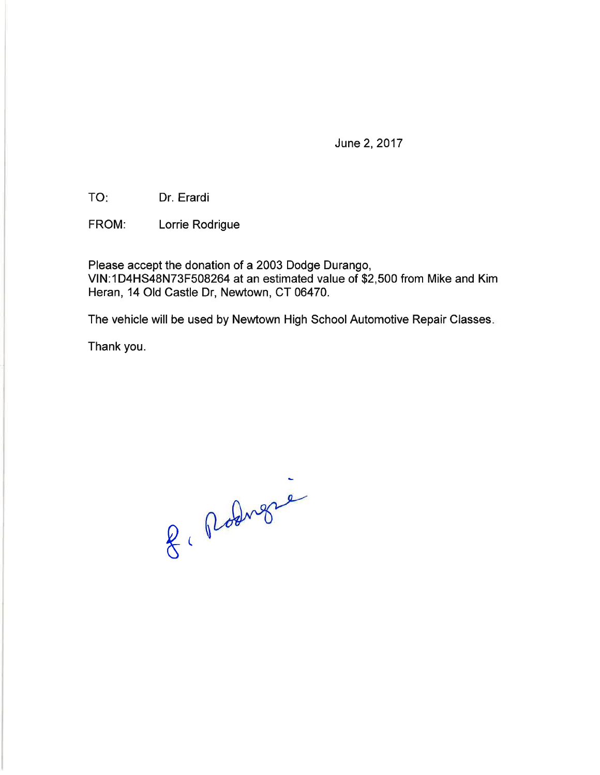June 2, 2017

TO: Dr. Erardi

Lorrie Rodrigue FROM:

Please accept the donation of a 2003 Dodge Durango, VIN:1D4HS48N73F508264 at an estimated value of \$2,500 from Mike and Kim Heran, 14 Old Castle Dr, Newtown, CT 06470.

The vehicle will be used by Newtown High School Automotive Repair Classes.

Thank you.

8. Rodner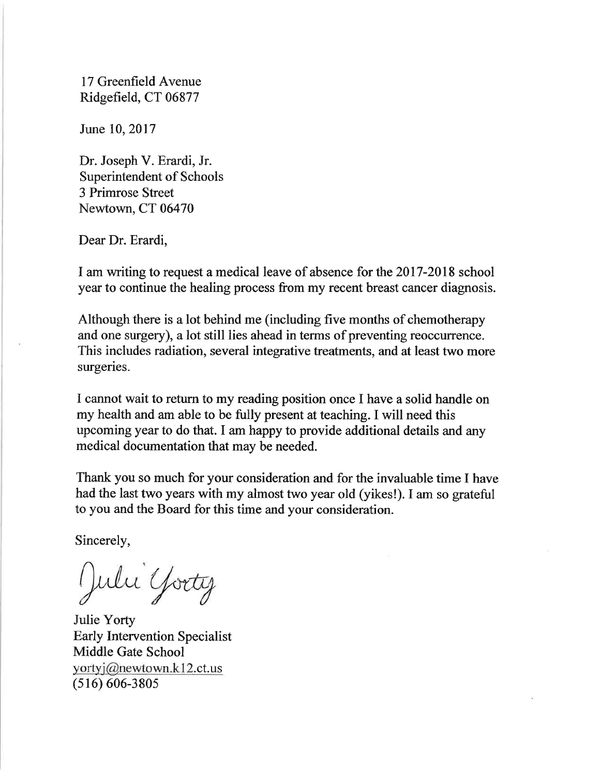17 Greenfield Avenue Ridgefield, CT 06877

June 10, 2017

Dr. Joseph V. Erardi, Jr. Superintendent of Schools 3 Primrose Street Newtown, CT 06470

Dear Dr. Erardi,

I am writing to request a medical leave of absence for the 2017-2018 school year to continue the healing process from my recent breast cancer diagnosis.

Although there is a lot behind me (including five months of chemotherapy and one surgery), a lot still lies ahead in terms of preventing reoccurrence. This includes radiation, several integrative treatments, and at least two more surgeries.

I cannot wait to return to my reading position once I have a solid handle on my health and am able to be fully present at teaching. I will need this upcoming year to do that. I am happy to provide additional details and any medical documentation that may be needed.

Thank you so much for your consideration and for the invaluable time I have had the last two years with my almost two year old (yikes!). I am so grateful to you and the Board for this time and your consideration.

Sincerely,

July Yorty

Julie Yorty **Early Intervention Specialist** Middle Gate School yortyj@newtown.k12.ct.us  $(516) 606 - 3805$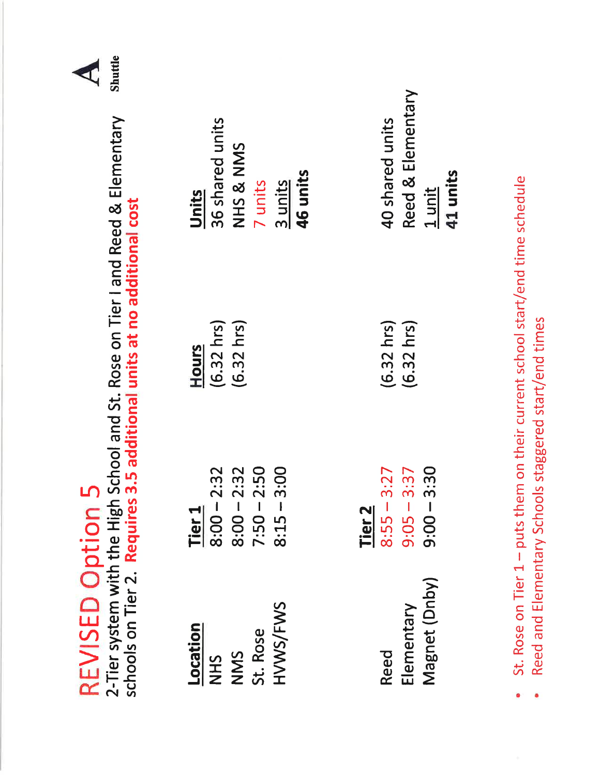| <b>Shuttle</b><br>€                                                                                                                                                           |                                                                                     |                                                                                                     |
|-------------------------------------------------------------------------------------------------------------------------------------------------------------------------------|-------------------------------------------------------------------------------------|-----------------------------------------------------------------------------------------------------|
|                                                                                                                                                                               | 36 shared units<br>NHS & NMS<br><b>46 units</b><br>7 units<br>3 units<br>Units      | Reed & Elementary<br>40 shared units<br>41 units<br>1 unit                                          |
| REVISED Option 5<br>2-Tier system with the High School and St. Rose on Tier I and Reed & Elementary<br>schools on Tier 2. Requires 3.5 additional units at no additional cost | $(6.32 \text{ hrs})$<br>$(6.32$ hrs $)$<br>Hours                                    | حالبالموطوع ومستطالا مستراسيوسي الموطوع مستعملين منتمطة مو<br>$(6.32 \text{ hrs})$<br>$(6.32)$ hrs) |
|                                                                                                                                                                               | $8:00 - 2:32$<br>$8:00 - 2:32$<br>7:50 - 2:50<br>$8:15 - 3:00$<br>Tier <sub>1</sub> | $9:00 - 3:30$<br>$8:55 - 3:27$<br>$9:05 - 3:37$<br>Tier <sub>2</sub>                                |
|                                                                                                                                                                               | HVWS/FWS<br>Location<br>St. Rose<br>NMS<br><b>SHN</b>                               | $C+$ Doco on Tion 1, put the sum<br>Magnet (Dnby)<br>Elementary<br>Reed                             |

St. Rose on Tier 1 - puts them on their current school start/end time schedule  $\bullet$ 

ė

Reed and Elementary Schools staggered start/end times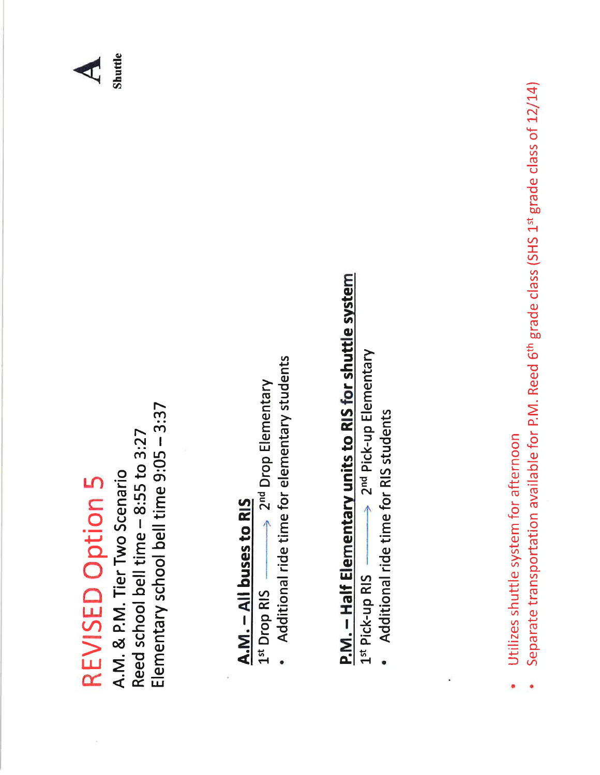## **REVISED Option 5**

Elementary school bell time 9:05 - 3:37 Reed school bell time - 8:55 to 3:27 A.M. & P.M. Tier Two Scenario

## A.M. - All buses to RIS

 $\Rightarrow$  2<sup>nd</sup> Drop Elementary 1st Drop RIS

Additional ride time for elementary students

# **P.M. - Half Elementary units to RIS for shuttle system**

> 2<sup>nd</sup> Pick-up Elementary 1st Pick-up RIS

Additional ride time for RIS students

- Utilizes shuttle system for afternoon
- Separate transportation available for P.M. Reed 6<sup>th</sup> grade class (SHS 1st grade class of 12/14)

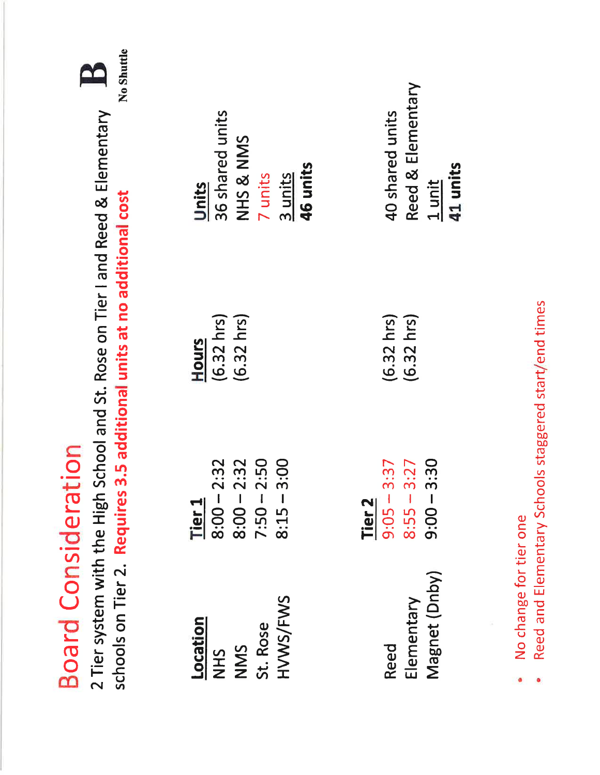| Tier <sub>1</sub><br>Location                        |                |                                       |                                      |
|------------------------------------------------------|----------------|---------------------------------------|--------------------------------------|
| $8:00 - 2:32$<br><b>NHS</b>                          |                | $(6.32 \text{ hrs})$<br>Hours         | 36 shared units<br>Units             |
| $8:00 - 2:32$<br>$7:50 - 2:50$<br>NMS                |                | $(6.32$ hrs)                          | NHS & NMS                            |
| $8:15 - 3$<br>HVWS/FWS<br>St. Rose                   | 00:1           |                                       | 46 units<br>7 units<br>$3$ units     |
| Tier <sub>2</sub>                                    |                |                                       |                                      |
| $8:55 - 3:27$<br>$9:05 - 3:37$<br>Elementary<br>Reed |                | $(6.32 \text{ hrs})$<br>$(6.32)$ hrs) | Reed & Elementary<br>40 shared units |
| $9:00 - 3$<br>Magnet (Dnby)                          | $\frac{30}{2}$ |                                       | 41 units<br>1 unit                   |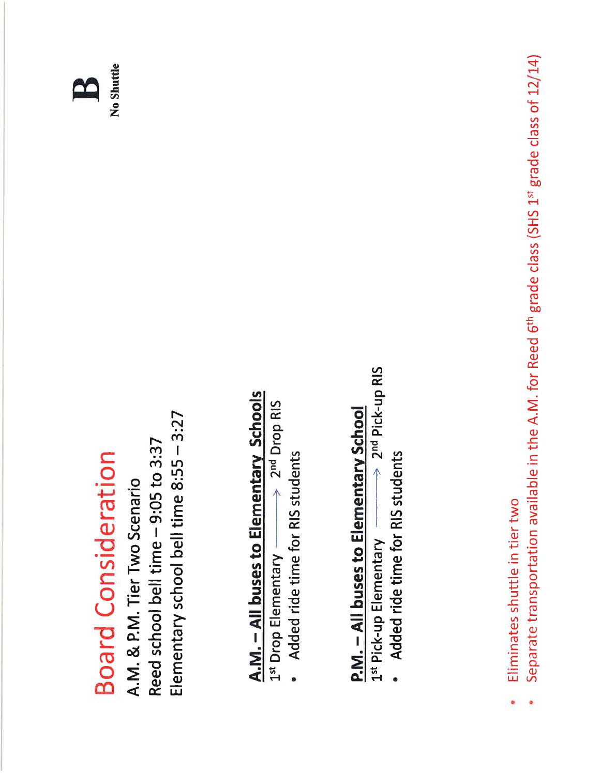

No Shuttle

Elementary school bell time 8:55 - 3:27 Reed school bell time - 9:05 to 3:37 A.M. & P.M. Tier Two Scenario

## A.M. - All buses to Elementary Schools

2nd Drop RIS  $\overline{\wedge}$ 1st Drop Elementary

Added ride time for RIS students

## P.M. - All buses to Elementary School

 $\Rightarrow$  2<sup>nd</sup> Pick-up RIS 1st Pick-up Elementary

Added ride time for RIS students

- Eliminates shuttle in tier two
- Separate transportation available in the A.M. for Reed 6<sup>th</sup> grade class (SHS 1st grade class of 12/14)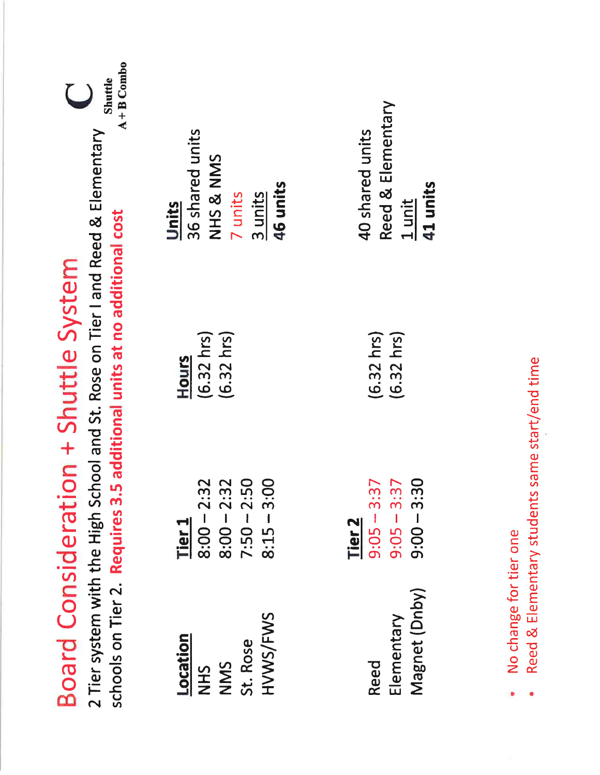| $A + B$ Combo<br>Shuttle<br>$\bigcup$<br>2 Tier system with the High School and St. Rose on Tier I and Reed & Elementary | 36 shared units<br>NHS & NMS<br>46 units<br>7 units<br>3 units<br>Units                   | Reed & Elementary<br>40 shared units<br>41 units<br>1 unit                       |                        |
|--------------------------------------------------------------------------------------------------------------------------|-------------------------------------------------------------------------------------------|----------------------------------------------------------------------------------|------------------------|
| schools on Tier 2. Requires 3.5 additional units at no additional cost<br>Board Consideration + Shuttle System           | $(6.32 \text{ hrs})$<br>$(6.32 \text{ hrs})$<br><b>Hours</b>                              | $(6.32 \text{ hrs})$<br>$(6.32$ hrs)                                             |                        |
|                                                                                                                          | $8:00 - 2:32$<br>$7:50 - 2:50$<br>OO:<br>$8:00 - 2:32$<br>$8:15 - 3$<br>Tier <sub>1</sub> | $\ddot{30}$<br>$9:05 - 3:37$<br>$9:05 - 3:37$<br>$9:00 - 3$<br>Tier <sub>2</sub> |                        |
|                                                                                                                          | HVWS/FWS<br>Location<br>St. Rose<br>NMS<br><b>NHS</b>                                     | Magnet (Dnby)<br>Elementary<br>Reed                                              | No change for tier one |
|                                                                                                                          |                                                                                           |                                                                                  |                        |

- 
- Reed & Elementary students same start/end time  $\ddot{\bullet}$

ò,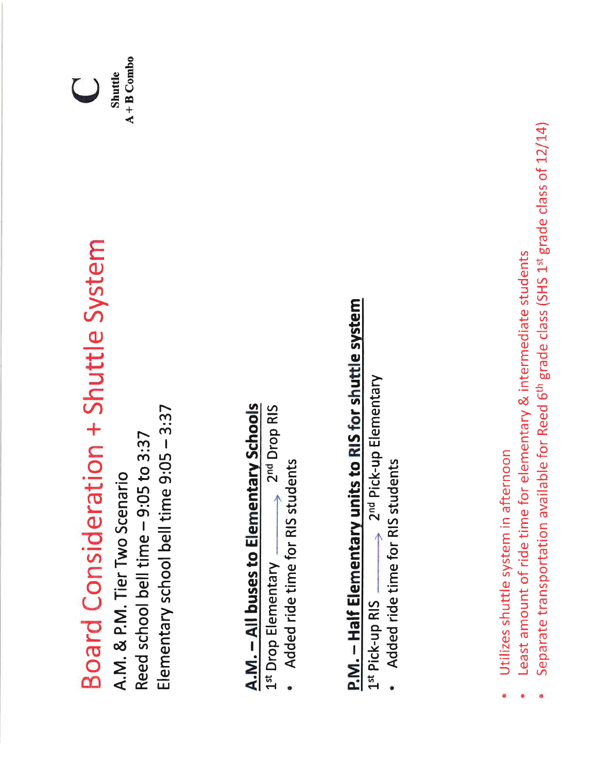Board Consideration + Shuttle System

Elementary school bell time 9:05 - 3:37 Reed school bell time - 9:05 to 3:37 A.M. & P.M. Tier Two Scenario

## A.M. - All buses to Elementary Schools

2<sup>nd</sup> Drop RIS 1st Drop Elementary

Added ride time for RIS students

# P.M. - Half Elementary units to RIS for shuttle system

2<sup>nd</sup> Pick-up Elementary 1st Pick-up RIS

Added ride time for RIS students

- Utilizes shuttle system in afternoon
- Least amount of ride time for elementary & intermediate students
- Separate transportation available for Reed 6<sup>th</sup> grade class (SHS 1st grade class of 12/14)

 $A + B$  Combo **Shuttle**  $\cup$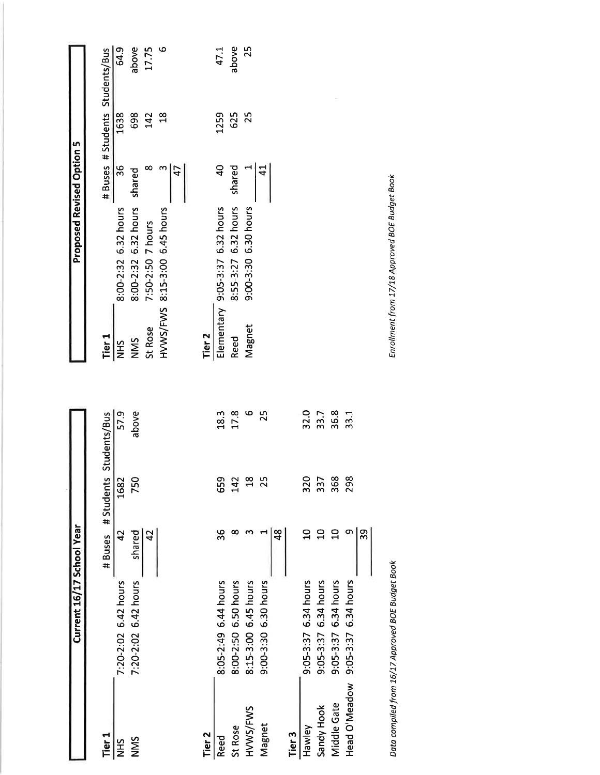|                   | Current 16/17 School | Year                   |                        |       |                   | <b>Proposed Revised Option 5</b> |                |                      |
|-------------------|----------------------|------------------------|------------------------|-------|-------------------|----------------------------------|----------------|----------------------|
| Tier <sub>1</sub> |                      | #Buses                 | #Students Students/Bus |       | Tier <sub>1</sub> |                                  |                | # Buses # Students S |
| <b>SHR</b>        | 7:20-2:02 6.42 hours | 42                     | 1682                   | 57.9  | <b>NHS</b>        | 8:00-2:32 6.32 hours             | 36             | 1638                 |
| NNS               | 7:20-2:02 6.42 hours |                        | 750                    | above | NMS               | 8:00-2:32 6.32 hours             | shared         | 698                  |
|                   |                      | shared $\frac{42}{42}$ |                        |       | St Rose           | 7:50-2:50 7 hours                | ∞              | 142                  |
|                   |                      |                        |                        |       | HVWS/FWS          | 8:15-3:00 6.45 hours             | ო<br>47        | $\frac{8}{18}$       |
|                   |                      |                        |                        |       |                   |                                  |                |                      |
| Tier <sub>2</sub> |                      |                        |                        |       | Tier <sub>2</sub> |                                  |                |                      |
| Reed              | 8:05-2:49 6.44 hours | 36                     | 659                    | 18.3  | Elementary        | 9:05-3:37 6.32 hours             | $\overline{a}$ | 1259                 |
| St Rose           | 8:00-2:50 6.50 hours |                        | 142                    | 17.8  | Reed              | 6.32 hours<br>8:55-3:27          | shared         | 625                  |
| HVWS/FWS          | 8:15-3:00 6.45 hours | $\boldsymbol{\omega}$  | $\frac{25}{25}$        | Φ     | Magnet            | 9:00-3:30 6.30 hours             |                | 25                   |
| Magnet            | 9:00-3:30 6.30 hours |                        |                        | 25    |                   |                                  | $\overline{4}$ |                      |
|                   |                      | $\frac{8}{4}$          |                        |       |                   |                                  |                |                      |
| Tier 3            |                      |                        |                        |       |                   |                                  |                |                      |
| Hawley            | 9:05-3:37 6.34 hours | $\Omega$               | 320                    | 32.0  |                   |                                  |                |                      |
| Sandy Hook        | 9:05-3:37 6.34 hours | $\overline{a}$         | 337                    | 33.7  |                   |                                  |                |                      |
| Middle Gate       | 9:05-3:37 6.34 hours | $\overline{a}$         | 368                    | 36.8  |                   |                                  |                |                      |
| Head O'Meadow     | 9:05-3:37 6.34 hours | თ,                     | 298                    | 33.1  |                   |                                  |                |                      |
|                   |                      | $\frac{5}{2}$          |                        |       |                   |                                  |                |                      |

Data compiled from 16/17 Approved BOE Budget Book

| ier <sub>1</sub> |                   |                                |        |                | # Buses # Students Students/Bus |
|------------------|-------------------|--------------------------------|--------|----------------|---------------------------------|
| Ξ                |                   | 8:00-2:32 6.32 hours           | 36     | 1638           | 64.9                            |
| $\frac{5}{2}$    |                   | 8:00-2:32 6.32 hours shared    |        | 698            | above                           |
| t Rose           | 7:50-2:50 7 hours |                                |        | 142            | 17.75                           |
|                  |                   | N/WS/FWS 8:15-3:00 6.45 hours  |        | $\frac{8}{10}$ | ဖ                               |
|                  |                   |                                | 47     |                |                                 |
|                  |                   |                                |        |                |                                 |
| ier 2            |                   |                                |        |                |                                 |
|                  |                   | lementary 9:05-3:37 6.32 hours | 9      | 1259           | 47.1                            |
| eed              |                   | 8:55-3:27 6.32 hours           | shared | 625            | above                           |
| <b>Aagnet</b>    |                   | 9:00-3:30 6.30 hours           |        | 25             | 25                              |

Enrollment from 17/18 Approved BOE Budget Book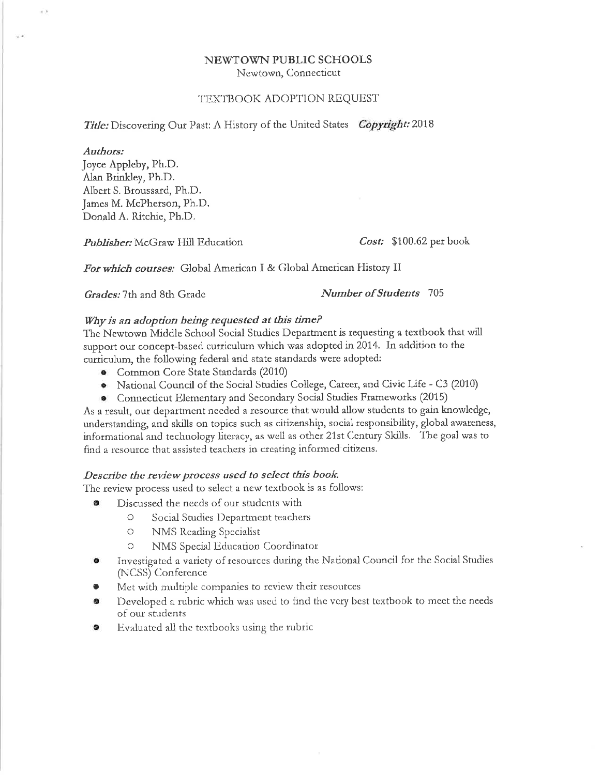## NEWTOWN PUBLIC SCHOOLS

Newtown, Connecticut

### TEXTBOOK ADOPTION REQUEST

Title: Discovering Our Past: A History of the United States Copyright: 2018

### Authors:

 $\rightarrow$ 

 $\overline{\omega}$  at

Joyce Appleby, Ph.D. Alan Brinkley, Ph.D. Albert S. Broussard, Ph.D. James M. McPherson, Ph.D. Donald A. Ritchie, Ph.D.

Publisher: McGraw Hill Education

Cost: \$100.62 per book

For which courses: Global American I & Global American History II

Grades: 7th and 8th Grade

Number of Students 705

## Why is an adoption being requested at this time?

The Newtown Middle School Social Studies Department is requesting a textbook that will support our concept-based curriculum which was adopted in 2014. In addition to the curriculum, the following federal and state standards were adopted:

- Common Core State Standards (2010)
- National Council of the Social Studies College, Career, and Civic Life C3 (2010) ۰
- Connecticut Elementary and Secondary Social Studies Frameworks (2015)

As a result, our department needed a resource that would allow students to gain knowledge, understanding, and skills on topics such as citizenship, social responsibility, global awareness, informational and technology literacy, as well as other 21st Century Skills. The goal was to find a resource that assisted teachers in creating informed citizens.

### Describe the review process used to select this book.

The review process used to select a new textbook is as follows:

- Discussed the needs of our students with ۰
	- $\bigcirc$ Social Studies Department teachers
	- $\bigcirc$ NMS Reading Specialist
	- $\circ$ NMS Special Education Coordinator
- Investigated a variety of resources during the National Council for the Social Studies (NCSS) Conference
- Met with multiple companies to review their resources
- Developed a rubric which was used to find the very best textbook to meet the needs of our students
- Evaluated all the textbooks using the rubric ۰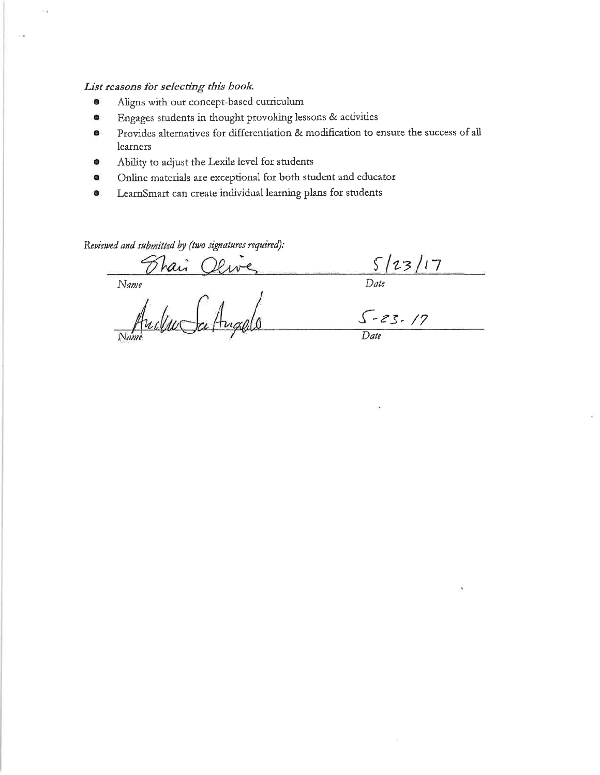## List reasons for selecting this book.

23

- Aligns with our concept-based curriculum O
- Engages students in thought provoking lessons & activities ۰
- Provides alternatives for differentiation & modification to ensure the success of all  $\bullet$ learners
- Ability to adjust the Lexile level for students ۰
- Online materials are exceptional for both student and educator  $\bullet$
- LearnSmart can create individual learning plans for students ۰

Reviewed and submitted by (two signatures required):

 $\frac{\sqrt{23/17}}{Date}$ <br> $\frac{\sqrt{23}}{Date}$ 

Name Olive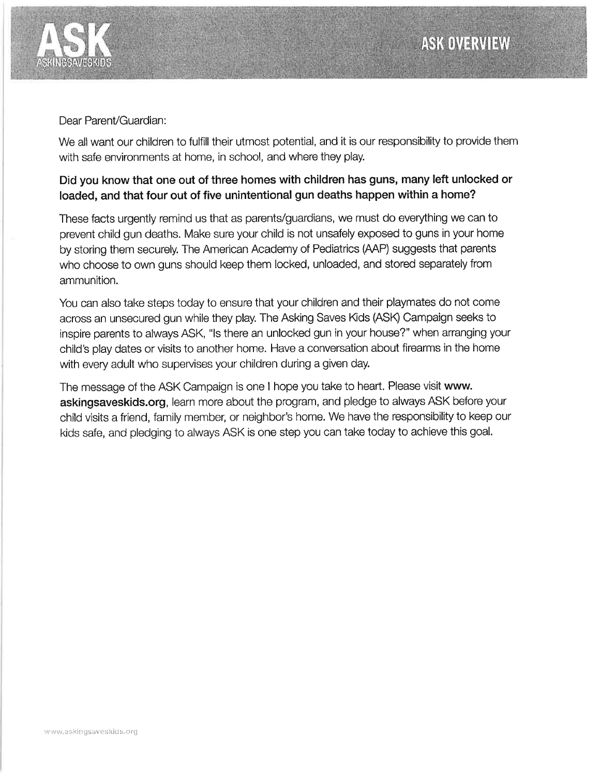

## Dear Parent/Guardian:

We all want our children to fulfill their utmost potential, and it is our responsibility to provide them with safe environments at home, in school, and where they play.

## Did you know that one out of three homes with children has guns, many left unlocked or loaded, and that four out of five unintentional gun deaths happen within a home?

These facts urgently remind us that as parents/guardians, we must do everything we can to prevent child gun deaths. Make sure your child is not unsafely exposed to guns in your home by storing them securely. The American Academy of Pediatrics (AAP) suggests that parents who choose to own guns should keep them locked, unloaded, and stored separately from ammunition.

You can also take steps today to ensure that your children and their playmates do not come across an unsecured gun while they play. The Asking Saves Kids (ASK) Campaign seeks to inspire parents to always ASK, "Is there an unlocked gun in your house?" when arranging your child's play dates or visits to another home. Have a conversation about firearms in the home with every adult who supervises your children during a given day.

The message of the ASK Campaign is one I hope you take to heart. Please visit www. askingsaveskids.org, learn more about the program, and pledge to always ASK before your child visits a friend, family member, or neighbor's home. We have the responsibility to keep our kids safe, and pledging to always ASK is one step you can take today to achieve this goal.